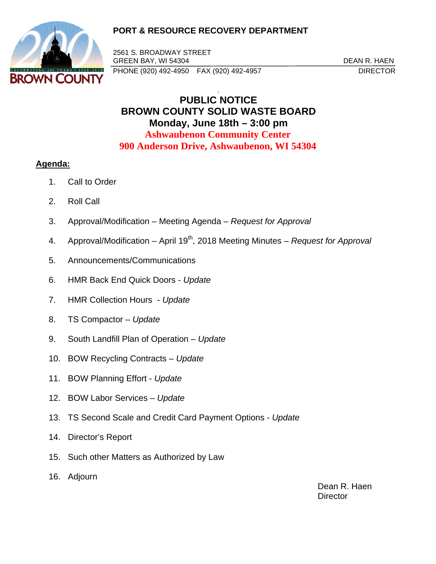## **PORT & RESOURCE RECOVERY DEPARTMENT**



2561 S. BROADWAY STREET GREEN BAY, WI 54304 DEAN R. HAEN PHONE (920) 492-4950 FAX (920) 492-4957 DIRECTOR

## \ **PUBLIC NOTICE BROWN COUNTY SOLID WASTE BOARD Monday, June 18th – 3:00 pm Ashwaubenon Community Center 900 Anderson Drive, Ashwaubenon, WI 54304**

## **Agenda:**

- 1. Call to Order
- 2. Roll Call
- 3. Approval/Modification Meeting Agenda *Request for Approval*
- 4. Approval/Modification April 19<sup>th</sup>, 2018 Meeting Minutes *Request for Approval*
- 5. Announcements/Communications
- 6. HMR Back End Quick Doors *Update*
- 7. HMR Collection Hours *Update*
- 8. TS Compactor *Update*
- 9. South Landfill Plan of Operation – *Update*
- 10. BOW Recycling Contracts *Update*
- 11. BOW Planning Effort *Update*
- 12. BOW Labor Services *Update*
- 13. TS Second Scale and Credit Card Payment Options *Update*
- 14. Director's Report
- 15. Such other Matters as Authorized by Law
- 16. Adjourn

 Dean R. Haen **Director**